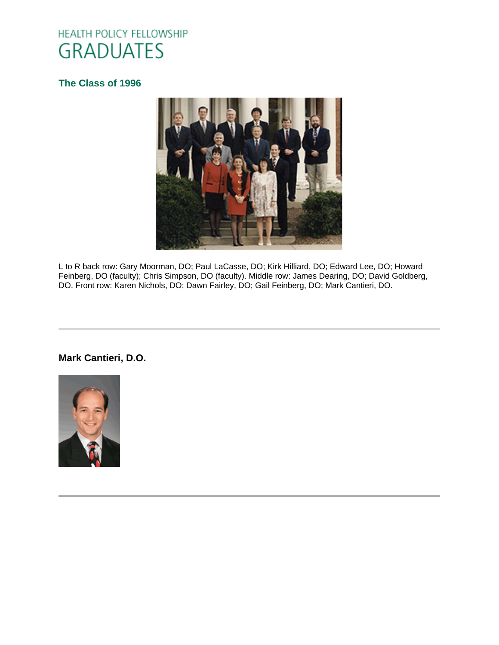# HEALTH POLICY FELLOWSHIP **GRADUATES**

### **[The Class of 1996](http://www.oucom.ohiou.edu/hpf/Graduates2012.htm)**



L to R back row: Gary Moorman, DO; Paul LaCasse, DO; Kirk Hilliard, DO; Edward Lee, DO; Howard Feinberg, DO (faculty); Chris Simpson, DO (faculty). Middle row: James Dearing, DO; David Goldberg, DO. Front row: Karen Nichols, DO; Dawn Fairley, DO; Gail Feinberg, DO; Mark Cantieri, DO.

### **Mark Cantieri, D.O.**

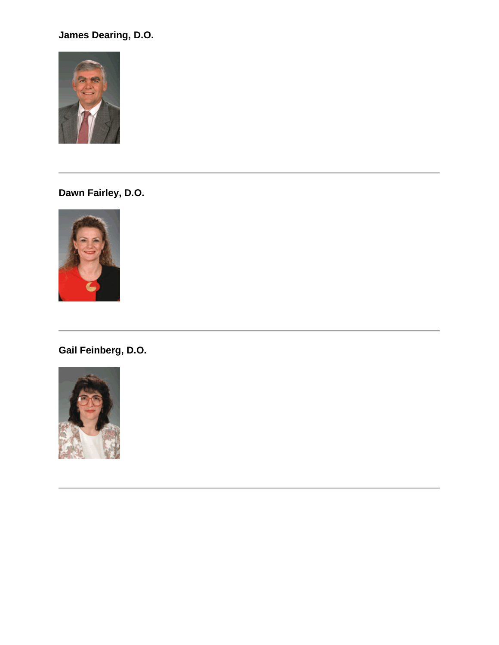## **James Dearing, D.O.**



**Dawn Fairley, D.O.**



**Gail Feinberg, D.O.**

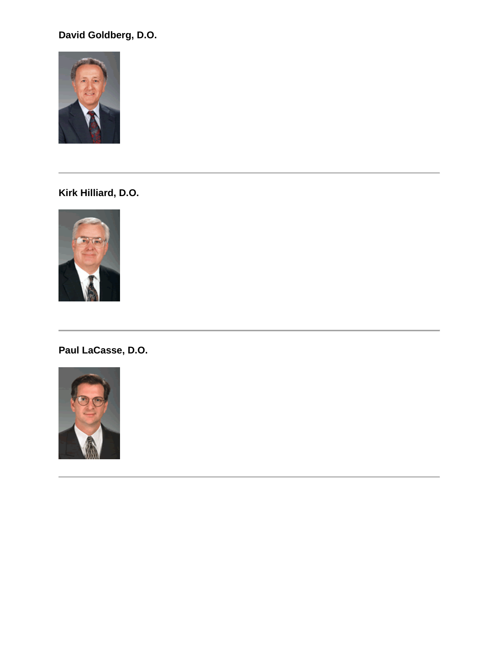## **David Goldberg, D.O.**



**Kirk Hilliard, D.O.**



**Paul LaCasse, D.O.**